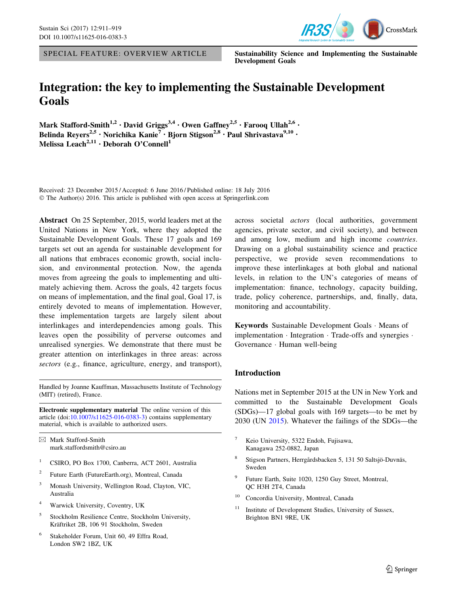



Development Goals

# Integration: the key to implementing the Sustainable Development Goals

Mark Stafford-Smith<sup>1,2</sup> · David Griggs<sup>3,4</sup> · Owen Gaffney<sup>2,5</sup> · Farooq Ullah<sup>2,6</sup> · Belinda Reyers<sup>2,5</sup> • Norichika Kanie<sup>7</sup> • Bjorn Stigson<sup>2,8</sup> • Paul Shrivastava<sup>9,10</sup> • Melissa Leach<sup>2,11</sup> · Deborah O'Connell<sup>1</sup>

Received: 23 December 2015 / Accepted: 6 June 2016 / Published online: 18 July 2016 © The Author(s) 2016. This article is published with open access at Springerlink.com

Abstract On 25 September, 2015, world leaders met at the United Nations in New York, where they adopted the Sustainable Development Goals. These 17 goals and 169 targets set out an agenda for sustainable development for all nations that embraces economic growth, social inclusion, and environmental protection. Now, the agenda moves from agreeing the goals to implementing and ultimately achieving them. Across the goals, 42 targets focus on means of implementation, and the final goal, Goal 17, is entirely devoted to means of implementation. However, these implementation targets are largely silent about interlinkages and interdependencies among goals. This leaves open the possibility of perverse outcomes and unrealised synergies. We demonstrate that there must be greater attention on interlinkages in three areas: across sectors (e.g., finance, agriculture, energy, and transport),

Handled by Joanne Kauffman, Massachusetts Institute of Technology (MIT) (retired), France.

Electronic supplementary material The online version of this article (doi:[10.1007/s11625-016-0383-3\)](http://dx.doi.org/10.1007/s11625-016-0383-3) contains supplementary material, which is available to authorized users.

 $\boxtimes$  Mark Stafford-Smith mark.staffordsmith@csiro.au

- <sup>1</sup> CSIRO, PO Box 1700, Canberra, ACT 2601, Australia
- <sup>2</sup> Future Earth (FutureEarth.org), Montreal, Canada
- <sup>3</sup> Monash University, Wellington Road, Clayton, VIC, Australia
- <sup>4</sup> Warwick University, Coventry, UK
- <sup>5</sup> Stockholm Resilience Centre, Stockholm University, Kräftriket 2B, 106 91 Stockholm, Sweden
- <sup>6</sup> Stakeholder Forum, Unit 60, 49 Effra Road, London SW2 1BZ, UK

across societal actors (local authorities, government agencies, private sector, and civil society), and between and among low, medium and high income countries. Drawing on a global sustainability science and practice perspective, we provide seven recommendations to improve these interlinkages at both global and national levels, in relation to the UN's categories of means of implementation: finance, technology, capacity building, trade, policy coherence, partnerships, and, finally, data, monitoring and accountability.

Keywords Sustainable Development Goals - Means of implementation · Integration · Trade-offs and synergies · Governance - Human well-being

#### Introduction

Nations met in September 2015 at the UN in New York and committed to the Sustainable Development Goals (SDGs)—17 global goals with 169 targets—to be met by 2030 (UN [2015](#page-8-0)). Whatever the failings of the SDGs—the

Keio University, 5322 Endoh, Fujisawa, Kanagawa 252-0882, Japan

- Stigson Partners, Herrgårdsbacken 5, 131 50 Saltsjö-Duvnäs, Sweden
- Future Earth, Suite 1020, 1250 Guy Street, Montreal, QC H3H 2T4, Canada
- <sup>10</sup> Concordia University, Montreal, Canada
- <sup>11</sup> Institute of Development Studies, University of Sussex, Brighton BN1 9RE, UK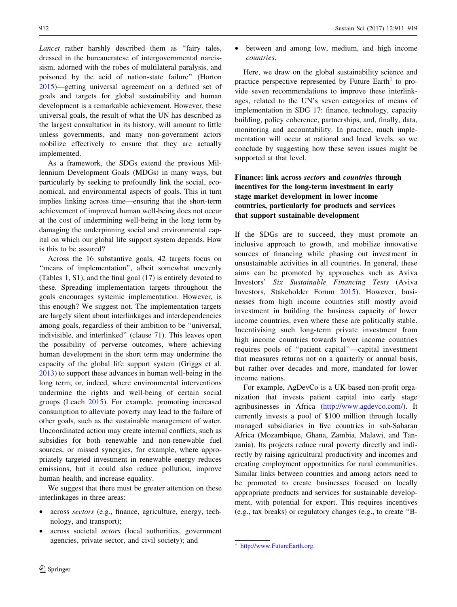Lancet rather harshly described them as "fairy tales, dressed in the bureaucratese of intergovernmental narcissism, adorned with the robes of multilateral paralysis, and poisoned by the acid of nation-state failure'' (Horton [2015\)](#page-8-0)—getting universal agreement on a defined set of goals and targets for global sustainability and human development is a remarkable achievement. However, these universal goals, the result of what the UN has described as the largest consultation in its history, will amount to little unless governments, and many non-government actors mobilize effectively to ensure that they are actually implemented.

As a framework, the SDGs extend the previous Millennium Development Goals (MDGs) in many ways, but particularly by seeking to profoundly link the social, economical, and environmental aspects of goals. This in turn implies linking across time—ensuring that the short-term achievement of improved human well-being does not occur at the cost of undermining well-being in the long term by damaging the underpinning social and environmental capital on which our global life support system depends. How is this to be assured?

Across the 16 substantive goals, 42 targets focus on "means of implementation", albeit somewhat unevenly (Tables [1](#page-2-0), S1), and the final goal (17) is entirely devoted to these. Spreading implementation targets throughout the goals encourages systemic implementation. However, is this enough? We suggest not. The implementation targets are largely silent about interlinkages and interdependencies among goals, regardless of their ambition to be ''universal, indivisible, and interlinked'' (clause 71). This leaves open the possibility of perverse outcomes, where achieving human development in the short term may undermine the capacity of the global life support system (Griggs et al. [2013\)](#page-8-0) to support these advances in human well-being in the long term; or, indeed, where environmental interventions undermine the rights and well-being of certain social groups (Leach [2015](#page-8-0)). For example, promoting increased consumption to alleviate poverty may lead to the failure of other goals, such as the sustainable management of water. Uncoordinated action may create internal conflicts, such as subsidies for both renewable and non-renewable fuel sources, or missed synergies, for example, where appropriately targeted investment in renewable energy reduces emissions, but it could also reduce pollution, improve human health, and increase equality.

We suggest that there must be greater attention on these interlinkages in three areas:

- across sectors (e.g., finance, agriculture, energy, technology, and transport);
- across societal *actors* (local authorities, government agencies, private sector, and civil society); and

• between and among low, medium, and high income countries.

Here, we draw on the global sustainability science and practice perspective represented by Future  $Earth<sup>1</sup>$  to provide seven recommendations to improve these interlinkages, related to the UN's seven categories of means of implementation in SDG 17: finance, technology, capacity building, policy coherence, partnerships, and, finally, data, monitoring and accountability. In practice, much implementation will occur at national and local levels, so we conclude by suggesting how these seven issues might be supported at that level.

# Finance: link across sectors and countries through incentives for the long-term investment in early stage market development in lower income countries, particularly for products and services that support sustainable development

If the SDGs are to succeed, they must promote an inclusive approach to growth, and mobilize innovative sources of financing while phasing out investment in unsustainable activities in all countries. In general, these aims can be promoted by approaches such as Aviva Investors' Six Sustainable Financing Tests (Aviva Investors, Stakeholder Forum [2015\)](#page-7-0). However, businesses from high income countries still mostly avoid investment in building the business capacity of lower income countries, even where these are politically stable. Incentivising such long-term private investment from high income countries towards lower income countries requires pools of ''patient capital''—capital investment that measures returns not on a quarterly or annual basis, but rather over decades and more, mandated for lower income nations.

For example, AgDevCo is a UK-based non-profit organization that invests patient capital into early stage agribusinesses in Africa [\(http://www.agdevco.com/](http://www.agdevco.com/)). It currently invests a pool of \$100 million through locally managed subsidiaries in five countries in sub-Saharan Africa (Mozambique, Ghana, Zambia, Malawi, and Tanzania). Its projects reduce rural poverty directly and indirectly by raising agricultural productivity and incomes and creating employment opportunities for rural communities. Similar links between countries and among actors need to be promoted to create businesses focused on locally appropriate products and services for sustainable development, with potential for export. This requires incentives (e.g., tax breaks) or regulatory changes (e.g., to create ''B-

<sup>1</sup> <http://www.FutureEarth.org>.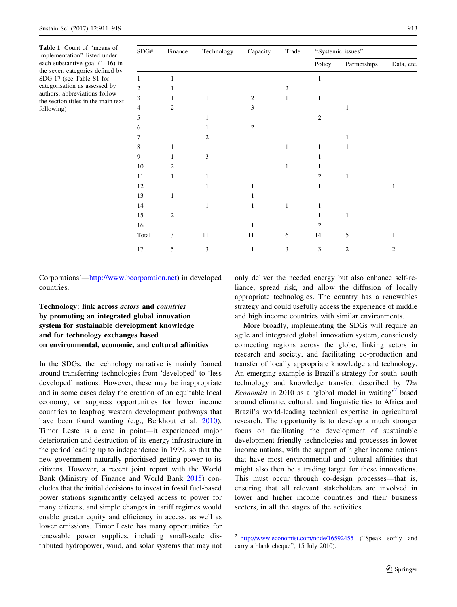<span id="page-2-0"></span>Table 1 Count of "means of implementation'' listed under each substantive goal (1–16) in the seven categories defined by SDG 17 (see Table S1 for categorisation as assessed by authors; abbreviations follow the section titles in the main text following)

| $\mathrm{SDG}\#$ | Finance        | Technology     | Capacity       | Trade          | "Systemic issues" |                |                |
|------------------|----------------|----------------|----------------|----------------|-------------------|----------------|----------------|
|                  |                |                |                |                | Policy            | Partnerships   | Data, etc.     |
|                  | $\mathbf{1}$   |                |                |                | $\mathbf{1}$      |                |                |
| 2                | 1              |                |                | $\overline{2}$ |                   |                |                |
| 3                | 1              | $\mathbf{1}$   | $\sqrt{2}$     | $\mathbf{1}$   | $\mathbf{1}$      |                |                |
| $\overline{4}$   | $\overline{c}$ |                | $\mathfrak{Z}$ |                |                   | 1              |                |
| 5                |                | 1              |                |                | $\overline{2}$    |                |                |
| 6                |                | 1              | $\sqrt{2}$     |                |                   |                |                |
| 7                |                | 2              |                |                |                   | 1              |                |
| 8                | $\mathbf{1}$   |                |                | $\,1$          | $\mathbf{1}$      | 1              |                |
| 9                | 1              | $\mathfrak{Z}$ |                |                | 1                 |                |                |
| $10\,$           | $\overline{c}$ |                |                | $\mathbf{1}$   | 1                 |                |                |
| $11\,$           | $\mathbf{1}$   | 1              |                |                | $\overline{c}$    | $\mathbf{1}$   |                |
| 12               |                | 1              | $\mathbf{1}$   |                | $\mathbf{1}$      |                | $\mathbf{1}$   |
| 13               | $\mathbf{1}$   |                | $\mathbf{1}$   |                |                   |                |                |
| 14               |                | $\mathbf{1}$   | 1              | $\mathbf{1}$   | 1                 |                |                |
| 15               | $\sqrt{2}$     |                |                |                | 1                 | $\mathbf{1}$   |                |
| 16               |                |                | $\mathbf{1}$   |                | $\overline{c}$    |                |                |
| Total            | 13             | 11             | $11\,$         | 6              | $14\,$            | 5              | $\mathbf{1}$   |
| 17               | 5              | 3              | 1              | $\mathfrak{Z}$ | $\overline{3}$    | $\overline{c}$ | $\overline{c}$ |

Corporations'—[http://www.bcorporation.net\)](http://www.bcorporation.net) in developed countries.

# Technology: link across actors and countries by promoting an integrated global innovation system for sustainable development knowledge and for technology exchanges based on environmental, economic, and cultural affinities

In the SDGs, the technology narrative is mainly framed around transferring technologies from 'developed' to 'less developed' nations. However, these may be inappropriate and in some cases delay the creation of an equitable local economy, or suppress opportunities for lower income countries to leapfrog western development pathways that have been found wanting (e.g., Berkhout et al. [2010](#page-7-0)). Timor Leste is a case in point—it experienced major deterioration and destruction of its energy infrastructure in the period leading up to independence in 1999, so that the new government naturally prioritised getting power to its citizens. However, a recent joint report with the World Bank (Ministry of Finance and World Bank [2015](#page-8-0)) concludes that the initial decisions to invest in fossil fuel-based power stations significantly delayed access to power for many citizens, and simple changes in tariff regimes would enable greater equity and efficiency in access, as well as lower emissions. Timor Leste has many opportunities for renewable power supplies, including small-scale distributed hydropower, wind, and solar systems that may not only deliver the needed energy but also enhance self-reliance, spread risk, and allow the diffusion of locally appropriate technologies. The country has a renewables strategy and could usefully access the experience of middle and high income countries with similar environments.

More broadly, implementing the SDGs will require an agile and integrated global innovation system, consciously connecting regions across the globe, linking actors in research and society, and facilitating co-production and transfer of locally appropriate knowledge and technology. An emerging example is Brazil's strategy for south–south technology and knowledge transfer, described by The *Economist* in 2010 as a 'global model in waiting'<sup>2</sup> based around climatic, cultural, and linguistic ties to Africa and Brazil's world-leading technical expertise in agricultural research. The opportunity is to develop a much stronger focus on facilitating the development of sustainable development friendly technologies and processes in lower income nations, with the support of higher income nations that have most environmental and cultural affinities that might also then be a trading target for these innovations. This must occur through co-design processes—that is, ensuring that all relevant stakeholders are involved in lower and higher income countries and their business sectors, in all the stages of the activities.

<sup>&</sup>lt;sup>2</sup> <http://www.economist.com/node/16592455> ("Speak softly and carry a blank cheque'', 15 July 2010).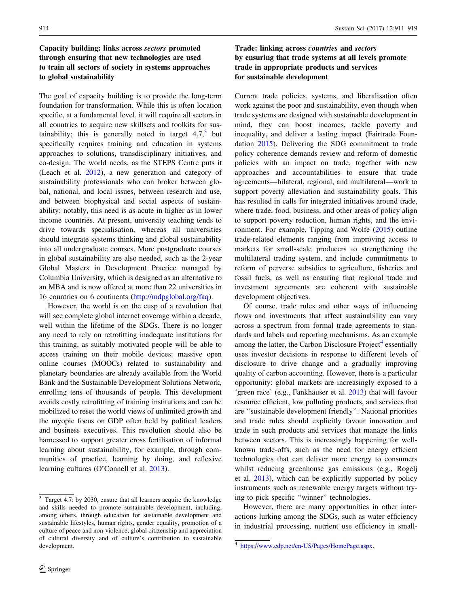## Capacity building: links across sectors promoted through ensuring that new technologies are used to train all sectors of society in systems approaches to global sustainability

The goal of capacity building is to provide the long-term foundation for transformation. While this is often location specific, at a fundamental level, it will require all sectors in all countries to acquire new skillsets and toolkits for sustainability; this is generally noted in target  $4.7<sup>3</sup>$  but specifically requires training and education in systems approaches to solutions, transdisciplinary initiatives, and co-design. The world needs, as the STEPS Centre puts it (Leach et al. [2012](#page-8-0)), a new generation and category of sustainability professionals who can broker between global, national, and local issues, between research and use, and between biophysical and social aspects of sustainability; notably, this need is as acute in higher as in lower income countries. At present, university teaching tends to drive towards specialisation, whereas all universities should integrate systems thinking and global sustainability into all undergraduate courses. More postgraduate courses in global sustainability are also needed, such as the 2-year Global Masters in Development Practice managed by Columbia University, which is designed as an alternative to an MBA and is now offered at more than 22 universities in 16 countries on 6 continents (<http://mdpglobal.org/faq>).

However, the world is on the cusp of a revolution that will see complete global internet coverage within a decade, well within the lifetime of the SDGs. There is no longer any need to rely on retrofitting inadequate institutions for this training, as suitably motivated people will be able to access training on their mobile devices: massive open online courses (MOOCs) related to sustainability and planetary boundaries are already available from the World Bank and the Sustainable Development Solutions Network, enrolling tens of thousands of people. This development avoids costly retrofitting of training institutions and can be mobilized to reset the world views of unlimited growth and the myopic focus on GDP often held by political leaders and business executives. This revolution should also be harnessed to support greater cross fertilisation of informal learning about sustainability, for example, through communities of practice, learning by doing, and reflexive learning cultures (O'Connell et al. [2013\)](#page-8-0).

### Trade: linking across countries and sectors by ensuring that trade systems at all levels promote trade in appropriate products and services for sustainable development

Current trade policies, systems, and liberalisation often work against the poor and sustainability, even though when trade systems are designed with sustainable development in mind, they can boost incomes, tackle poverty and inequality, and deliver a lasting impact (Fairtrade Foundation [2015\)](#page-8-0). Delivering the SDG commitment to trade policy coherence demands review and reform of domestic policies with an impact on trade, together with new approaches and accountabilities to ensure that trade agreements—bilateral, regional, and multilateral—work to support poverty alleviation and sustainability goals. This has resulted in calls for integrated initiatives around trade, where trade, food, business, and other areas of policy align to support poverty reduction, human rights, and the environment. For example, Tipping and Wolfe [\(2015](#page-8-0)) outline trade-related elements ranging from improving access to markets for small-scale producers to strengthening the multilateral trading system, and include commitments to reform of perverse subsidies to agriculture, fisheries and fossil fuels, as well as ensuring that regional trade and investment agreements are coherent with sustainable development objectives.

Of course, trade rules and other ways of influencing flows and investments that affect sustainability can vary across a spectrum from formal trade agreements to standards and labels and reporting mechanisms. As an example among the latter, the Carbon Disclosure  $Project<sup>4</sup>$  essentially uses investor decisions in response to different levels of disclosure to drive change and a gradually improving quality of carbon accounting. However, there is a particular opportunity: global markets are increasingly exposed to a 'green race' (e.g., Fankhauser et al. [2013](#page-8-0)) that will favour resource efficient, low polluting products, and services that are ''sustainable development friendly''. National priorities and trade rules should explicitly favour innovation and trade in such products and services that manage the links between sectors. This is increasingly happening for wellknown trade-offs, such as the need for energy efficient technologies that can deliver more energy to consumers whilst reducing greenhouse gas emissions (e.g., Rogelj et al. [2013\)](#page-8-0), which can be explicitly supported by policy instruments such as renewable energy targets without trying to pick specific ''winner'' technologies.

However, there are many opportunities in other interactions lurking among the SDGs, such as water efficiency in industrial processing, nutrient use efficiency in small-

<sup>&</sup>lt;sup>3</sup> Target 4.7: by 2030, ensure that all learners acquire the knowledge and skills needed to promote sustainable development, including, among others, through education for sustainable development and sustainable lifestyles, human rights, gender equality, promotion of a culture of peace and non-violence, global citizenship and appreciation of cultural diversity and of culture's contribution to sustainable development. <sup>4</sup> [https://www.cdp.net/en-US/Pages/HomePage.aspx.](https://www.cdp.net/en-US/Pages/HomePage.aspx)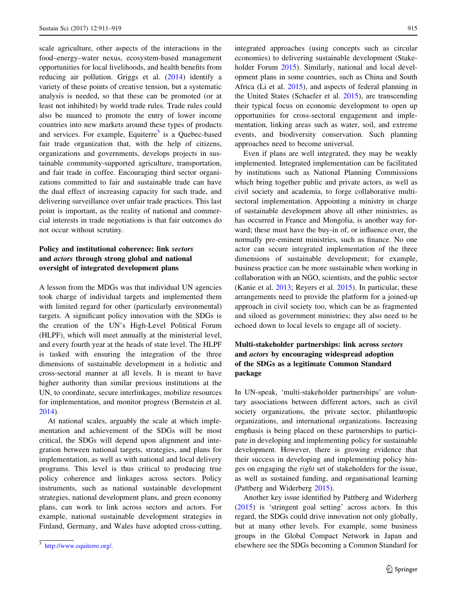scale agriculture, other aspects of the interactions in the food–energy–water nexus, ecosystem-based management opportunities for local livelihoods, and health benefits from reducing air pollution. Griggs et al. [\(2014](#page-8-0)) identify a variety of these points of creative tension, but a systematic analysis is needed, so that these can be promoted (or at least not inhibited) by world trade rules. Trade rules could also be nuanced to promote the entry of lower income countries into new markets around these types of products and services. For example, Equiterre<sup>5</sup> is a Quebec-based fair trade organization that, with the help of citizens, organizations and governments, develops projects in sustainable community-supported agriculture, transportation, and fair trade in coffee. Encouraging third sector organizations committed to fair and sustainable trade can have the dual effect of increasing capacity for such trade, and delivering surveillance over unfair trade practices. This last point is important, as the reality of national and commercial interests in trade negotiations is that fair outcomes do not occur without scrutiny.

# Policy and institutional coherence: link sectors and actors through strong global and national oversight of integrated development plans

A lesson from the MDGs was that individual UN agencies took charge of individual targets and implemented them with limited regard for other (particularly environmental) targets. A significant policy innovation with the SDGs is the creation of the UN's High-Level Political Forum (HLPF), which will meet annually at the ministerial level, and every fourth year at the heads of state level. The HLPF is tasked with ensuring the integration of the three dimensions of sustainable development in a holistic and cross-sectoral manner at all levels. It is meant to have higher authority than similar previous institutions at the UN, to coordinate, secure interlinkages, mobilize resources for implementation, and monitor progress (Bernstein et al. [2014\)](#page-7-0).

At national scales, arguably the scale at which implementation and achievement of the SDGs will be most critical, the SDGs will depend upon alignment and integration between national targets, strategies, and plans for implementation, as well as with national and local delivery programs. This level is thus critical to producing true policy coherence and linkages across sectors. Policy instruments, such as national sustainable development strategies, national development plans, and green economy plans, can work to link across sectors and actors. For example, national sustainable development strategies in Finland, Germany, and Wales have adopted cross-cutting,

integrated approaches (using concepts such as circular economies) to delivering sustainable development (Stake-holder Forum [2015\)](#page-8-0). Similarly, national and local development plans in some countries, such as China and South Africa (Li et al. [2015](#page-8-0)), and aspects of federal planning in the United States (Schaefer et al. [2015](#page-8-0)), are transcending their typical focus on economic development to open up opportunities for cross-sectoral engagement and implementation, linking areas such as water, soil, and extreme events, and biodiversity conservation. Such planning approaches need to become universal.

Even if plans are well integrated, they may be weakly implemented. Integrated implementation can be facilitated by institutions such as National Planning Commissions which bring together public and private actors, as well as civil society and academia, to forge collaborative multisectoral implementation. Appointing a ministry in charge of sustainable development above all other ministries, as has occurred in France and Mongolia, is another way forward; these must have the buy-in of, or influence over, the normally pre-eminent ministries, such as finance. No one actor can secure integrated implementation of the three dimensions of sustainable development; for example, business practice can be more sustainable when working in collaboration with an NGO, scientists, and the public sector (Kanie et al. [2013;](#page-8-0) Reyers et al. [2015](#page-8-0)). In particular, these arrangements need to provide the platform for a joined-up approach in civil society too, which can be as fragmented and siloed as government ministries; they also need to be echoed down to local levels to engage all of society.

# Multi-stakeholder partnerships: link across sectors and actors by encouraging widespread adoption of the SDGs as a legitimate Common Standard package

In UN-speak, 'multi-stakeholder partnerships' are voluntary associations between different actors, such as civil society organizations, the private sector, philanthropic organizations, and international organizations. Increasing emphasis is being placed on these partnerships to participate in developing and implementing policy for sustainable development. However, there is growing evidence that their success in developing and implementing policy hinges on engaging the right set of stakeholders for the issue, as well as sustained funding, and organisational learning (Pattberg and Widerberg [2015](#page-8-0)).

Another key issue identified by Pattberg and Widerberg [\(2015](#page-8-0)) is 'stringent goal setting' across actors. In this regard, the SDGs could drive innovation not only globally, but at many other levels. For example, some business groups in the Global Compact Network in Japan and  $\frac{1}{2}$  <http://www.equiterre.org/>.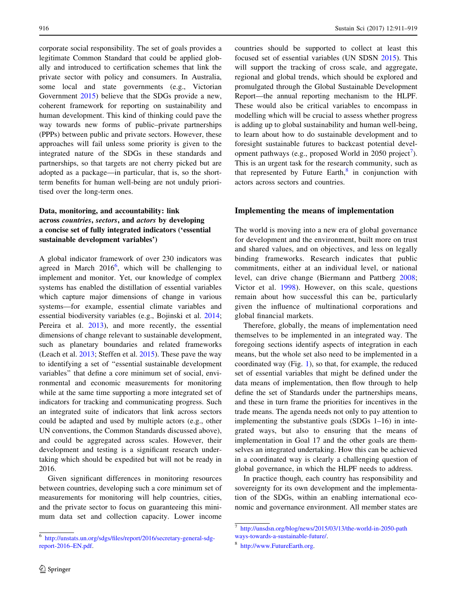corporate social responsibility. The set of goals provides a legitimate Common Standard that could be applied globally and introduced to certification schemes that link the private sector with policy and consumers. In Australia, some local and state governments (e.g., Victorian Government [2015\)](#page-8-0) believe that the SDGs provide a new, coherent framework for reporting on sustainability and human development. This kind of thinking could pave the way towards new forms of public–private partnerships (PPPs) between public and private sectors. However, these approaches will fail unless some priority is given to the integrated nature of the SDGs in these standards and partnerships, so that targets are not cherry picked but are adopted as a package—in particular, that is, so the shortterm benefits for human well-being are not unduly prioritised over the long-term ones.

# Data, monitoring, and accountability: link across countries, sectors, and actors by developing a concise set of fully integrated indicators ('essential sustainable development variables')

A global indicator framework of over 230 indicators was agreed in March  $2016^6$ , which will be challenging to implement and monitor. Yet, our knowledge of complex systems has enabled the distillation of essential variables which capture major dimensions of change in various systems—for example, essential climate variables and essential biodiversity variables (e.g., Bojinski et al. [2014](#page-8-0); Pereira et al. [2013](#page-8-0)), and more recently, the essential dimensions of change relevant to sustainable development, such as planetary boundaries and related frameworks (Leach et al. [2013](#page-8-0); Steffen et al. [2015\)](#page-8-0). These pave the way to identifying a set of ''essential sustainable development variables'' that define a core minimum set of social, environmental and economic measurements for monitoring while at the same time supporting a more integrated set of indicators for tracking and communicating progress. Such an integrated suite of indicators that link across sectors could be adapted and used by multiple actors (e.g., other UN conventions, the Common Standards discussed above), and could be aggregated across scales. However, their development and testing is a significant research undertaking which should be expedited but will not be ready in 2016.

Given significant differences in monitoring resources between countries, developing such a core minimum set of measurements for monitoring will help countries, cities, and the private sector to focus on guaranteeing this minimum data set and collection capacity. Lower income

countries should be supported to collect at least this focused set of essential variables (UN SDSN [2015\)](#page-8-0). This will support the tracking of cross scale, and aggregate, regional and global trends, which should be explored and promulgated through the Global Sustainable Development Report—the annual reporting mechanism to the HLPF. These would also be critical variables to encompass in modelling which will be crucial to assess whether progress is adding up to global sustainability and human well-being, to learn about how to do sustainable development and to foresight sustainable futures to backcast potential development pathways (e.g., proposed World in 2050 project<sup>7</sup>). This is an urgent task for the research community, such as that represented by Future Earth, $\frac{8}{3}$  in conjunction with actors across sectors and countries.

#### Implementing the means of implementation

The world is moving into a new era of global governance for development and the environment, built more on trust and shared values, and on objectives, and less on legally binding frameworks. Research indicates that public commitments, either at an individual level, or national level, can drive change (Biermann and Pattberg [2008](#page-7-0); Victor et al. [1998\)](#page-8-0). However, on this scale, questions remain about how successful this can be, particularly given the influence of multinational corporations and global financial markets.

Therefore, globally, the means of implementation need themselves to be implemented in an integrated way. The foregoing sections identify aspects of integration in each means, but the whole set also need to be implemented in a coordinated way (Fig. [1](#page-6-0)), so that, for example, the reduced set of essential variables that might be defined under the data means of implementation, then flow through to help define the set of Standards under the partnerships means, and these in turn frame the priorities for incentives in the trade means. The agenda needs not only to pay attention to implementing the substantive goals (SDGs 1–16) in integrated ways, but also to ensuring that the means of implementation in Goal 17 and the other goals are themselves an integrated undertaking. How this can be achieved in a coordinated way is clearly a challenging question of global governance, in which the HLPF needs to address.

In practice though, each country has responsibility and sovereignty for its own development and the implementation of the SDGs, within an enabling international economic and governance environment. All member states are

<sup>6</sup> [http://unstats.un.org/sdgs/files/report/2016/secretary-general-sdg](http://unstats.un.org/sdgs/files/report/2016/secretary-general-sdg-report-2016--EN.pdf)[report-2016–EN.pdf](http://unstats.un.org/sdgs/files/report/2016/secretary-general-sdg-report-2016--EN.pdf).

<sup>7</sup> [http://unsdsn.org/blog/news/2015/03/13/the-world-in-2050-path](http://unsdsn.org/blog/news/2015/03/13/the-world-in-2050-pathways-towards-a-sustainable-future/) [ways-towards-a-sustainable-future/.](http://unsdsn.org/blog/news/2015/03/13/the-world-in-2050-pathways-towards-a-sustainable-future/)

<sup>8</sup> <http://www.FutureEarth.org>.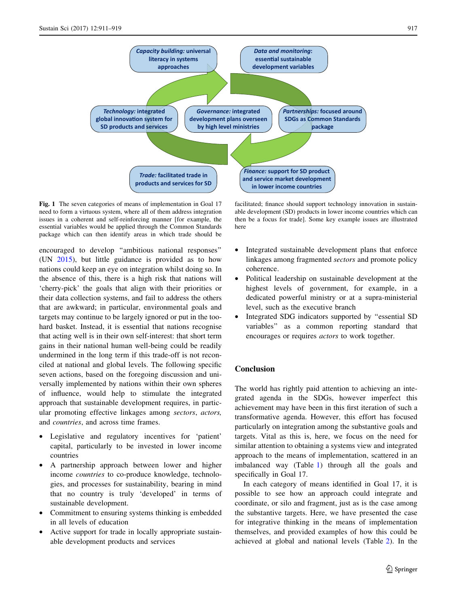<span id="page-6-0"></span>

Fig. 1 The seven categories of means of implementation in Goal 17 need to form a virtuous system, where all of them address integration issues in a coherent and self-reinforcing manner [for example, the essential variables would be applied through the Common Standards package which can then identify areas in which trade should be

encouraged to develop ''ambitious national responses'' (UN [2015](#page-8-0)), but little guidance is provided as to how nations could keep an eye on integration whilst doing so. In the absence of this, there is a high risk that nations will 'cherry-pick' the goals that align with their priorities or their data collection systems, and fail to address the others that are awkward; in particular, environmental goals and targets may continue to be largely ignored or put in the toohard basket. Instead, it is essential that nations recognise that acting well is in their own self-interest: that short term gains in their national human well-being could be readily undermined in the long term if this trade-off is not reconciled at national and global levels. The following specific seven actions, based on the foregoing discussion and universally implemented by nations within their own spheres of influence, would help to stimulate the integrated approach that sustainable development requires, in particular promoting effective linkages among sectors, actors, and countries, and across time frames.

- Legislative and regulatory incentives for 'patient' capital, particularly to be invested in lower income countries
- A partnership approach between lower and higher income countries to co-produce knowledge, technologies, and processes for sustainability, bearing in mind that no country is truly 'developed' in terms of sustainable development.
- Commitment to ensuring systems thinking is embedded in all levels of education
- Active support for trade in locally appropriate sustainable development products and services

facilitated; finance should support technology innovation in sustainable development (SD) products in lower income countries which can then be a focus for trade]. Some key example issues are illustrated here

- Integrated sustainable development plans that enforce linkages among fragmented sectors and promote policy coherence.
- Political leadership on sustainable development at the highest levels of government, for example, in a dedicated powerful ministry or at a supra-ministerial level, such as the executive branch
- Integrated SDG indicators supported by "essential SD variables'' as a common reporting standard that encourages or requires actors to work together.

#### Conclusion

The world has rightly paid attention to achieving an integrated agenda in the SDGs, however imperfect this achievement may have been in this first iteration of such a transformative agenda. However, this effort has focused particularly on integration among the substantive goals and targets. Vital as this is, here, we focus on the need for similar attention to obtaining a systems view and integrated approach to the means of implementation, scattered in an imbalanced way (Table [1](#page-2-0)) through all the goals and specifically in Goal 17.

In each category of means identified in Goal 17, it is possible to see how an approach could integrate and coordinate, or silo and fragment, just as is the case among the substantive targets. Here, we have presented the case for integrative thinking in the means of implementation themselves, and provided examples of how this could be achieved at global and national levels (Table [2](#page-7-0)). In the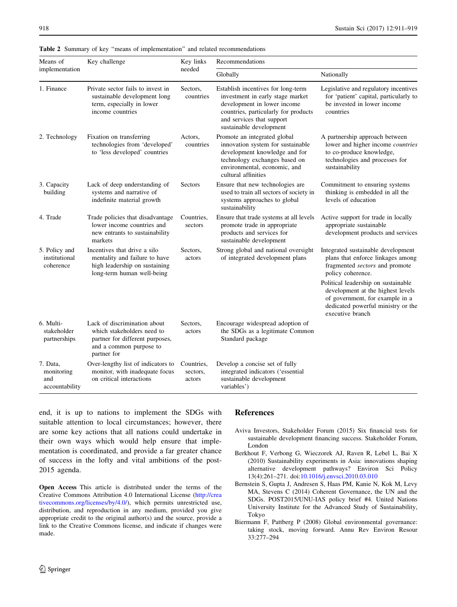| Means of                                        | Key challenge                                                                                                                           | Key links                        | Recommendations                                                                                                                                                                                       |                                                                                                                                                                       |  |  |
|-------------------------------------------------|-----------------------------------------------------------------------------------------------------------------------------------------|----------------------------------|-------------------------------------------------------------------------------------------------------------------------------------------------------------------------------------------------------|-----------------------------------------------------------------------------------------------------------------------------------------------------------------------|--|--|
| implementation                                  |                                                                                                                                         | needed                           | Globally                                                                                                                                                                                              | Nationally                                                                                                                                                            |  |  |
| 1. Finance                                      | Private sector fails to invest in<br>sustainable development long<br>term, especially in lower<br>income countries                      | Sectors,<br>countries            | Establish incentives for long-term<br>investment in early stage market<br>development in lower income<br>countries, particularly for products<br>and services that support<br>sustainable development | Legislative and regulatory incentives<br>for 'patient' capital, particularly to<br>be invested in lower income<br>countries                                           |  |  |
| 2. Technology                                   | Fixation on transferring<br>technologies from 'developed'<br>to 'less developed' countries                                              | Actors,<br>countries             | Promote an integrated global<br>innovation system for sustainable<br>development knowledge and for<br>technology exchanges based on<br>environmental, economic, and<br>cultural affinities            | A partnership approach between<br>lower and higher income countries<br>to co-produce knowledge,<br>technologies and processes for<br>sustainability                   |  |  |
| 3. Capacity<br>building                         | Lack of deep understanding of<br>systems and narrative of<br>indefinite material growth                                                 | Sectors                          | Ensure that new technologies are<br>used to train all sectors of society in<br>systems approaches to global<br>sustainability                                                                         | Commitment to ensuring systems<br>thinking is embedded in all the<br>levels of education                                                                              |  |  |
| 4. Trade                                        | Trade policies that disadvantage<br>lower income countries and<br>new entrants to sustainability<br>markets                             | Countries,<br>sectors            | Ensure that trade systems at all levels<br>promote trade in appropriate<br>products and services for<br>sustainable development                                                                       | Active support for trade in locally<br>appropriate sustainable<br>development products and services                                                                   |  |  |
| 5. Policy and<br>institutional<br>coherence     | Incentives that drive a silo<br>mentality and failure to have<br>high leadership on sustaining<br>long-term human well-being            | Sectors,<br>actors               | Strong global and national oversight<br>of integrated development plans                                                                                                                               | Integrated sustainable development<br>plans that enforce linkages among<br>fragmented sectors and promote<br>policy coherence.                                        |  |  |
|                                                 |                                                                                                                                         |                                  |                                                                                                                                                                                                       | Political leadership on sustainable<br>development at the highest levels<br>of government, for example in a<br>dedicated powerful ministry or the<br>executive branch |  |  |
| 6. Multi-<br>stakeholder<br>partnerships        | Lack of discrimination about<br>which stakeholders need to<br>partner for different purposes,<br>and a common purpose to<br>partner for | Sectors,<br>actors               | Encourage widespread adoption of<br>the SDGs as a legitimate Common<br>Standard package                                                                                                               |                                                                                                                                                                       |  |  |
| 7. Data,<br>monitoring<br>and<br>accountability | Over-lengthy list of indicators to<br>monitor, with inadequate focus<br>on critical interactions                                        | Countries,<br>sectors,<br>actors | Develop a concise set of fully<br>integrated indicators ('essential<br>sustainable development<br>variables')                                                                                         |                                                                                                                                                                       |  |  |

<span id="page-7-0"></span>Table 2 Summary of key "means of implementation" and related recommendations

end, it is up to nations to implement the SDGs with suitable attention to local circumstances; however, there are some key actions that all nations could undertake in their own ways which would help ensure that implementation is coordinated, and provide a far greater chance of success in the lofty and vital ambitions of the post-2015 agenda.

Open Access This article is distributed under the terms of the Creative Commons Attribution 4.0 International License ([http://crea](http://creativecommons.org/licenses/by/4.0/) [tivecommons.org/licenses/by/4.0/\)](http://creativecommons.org/licenses/by/4.0/), which permits unrestricted use, distribution, and reproduction in any medium, provided you give appropriate credit to the original author(s) and the source, provide a link to the Creative Commons license, and indicate if changes were made.

<sup>2</sup> Springer

#### References

- Aviva Investors, Stakeholder Forum (2015) Six financial tests for sustainable development financing success. Stakeholder Forum, London
- Berkhout F, Verbong G, Wieczorek AJ, Raven R, Lebel L, Bai X (2010) Sustainability experiments in Asia: innovations shaping alternative development pathways? Environ Sci Policy 13(4):261–271. doi:[10.1016/j.envsci.2010.03.010](http://dx.doi.org/10.1016/j.envsci.2010.03.010)
- Bernstein S, Gupta J, Andresen S, Haas PM, Kanie N, Kok M, Levy MA, Stevens C (2014) Coherent Governance, the UN and the SDGs. POST2015/UNU-IAS policy brief #4. United Nations University Institute for the Advanced Study of Sustainability, Tokyo
- Biermann F, Pattberg P (2008) Global environmental governance: taking stock, moving forward. Annu Rev Environ Resour 33:277–294